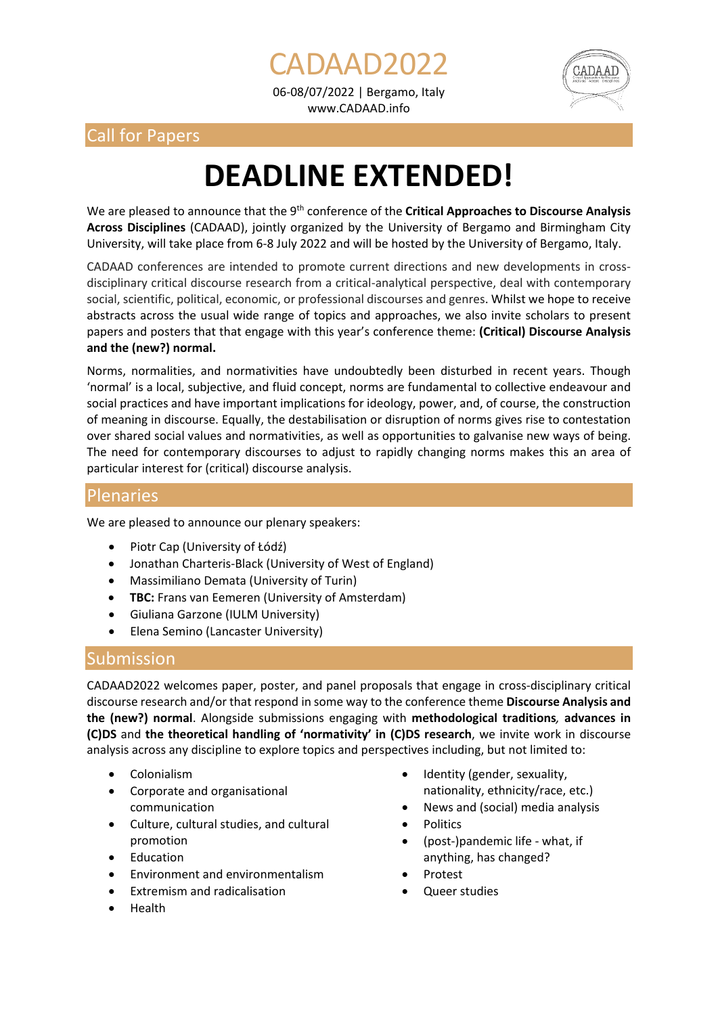06-08/07/2022 | Bergamo, Italy www.CADAAD.info

ADAAD2022





# **DEADLINE EXTENDED!**

We are pleased to announce that the 9<sup>th</sup> conference of the **Critical Approaches to Discourse Analysis Across Disciplines** (CADAAD), jointly organized by the University of Bergamo and Birmingham City University, will take place from 6-8 July 2022 and will be hosted by the University of Bergamo, Italy.

CADAAD conferences are intended to promote current directions and new developments in crossdisciplinary critical discourse research from a critical-analytical perspective, deal with contemporary social, scientific, political, economic, or professional discourses and genres. Whilst we hope to receive abstracts across the usual wide range of topics and approaches, we also invite scholars to present papers and posters that that engage with this year's conference theme: **(Critical) Discourse Analysis and the (new?) normal.** 

Norms, normalities, and normativities have undoubtedly been disturbed in recent years. Though 'normal' is a local, subjective, and fluid concept, norms are fundamental to collective endeavour and social practices and have important implications for ideology, power, and, of course, the construction of meaning in discourse. Equally, the destabilisation or disruption of norms gives rise to contestation over shared social values and normativities, as well as opportunities to galvanise new ways of being. The need for contemporary discourses to adjust to rapidly changing norms makes this an area of particular interest for (critical) discourse analysis.

## Plenaries

We are pleased to announce our plenary speakers:

- Piotr Cap (University of Łódź)
- Jonathan Charteris-Black (University of West of England)
- Massimiliano Demata (University of Turin)
- **TBC:** Frans van Eemeren (University of Amsterdam)
- Giuliana Garzone (IULM University)
- Elena Semino (Lancaster University)

## Submission

CADAAD2022 welcomes paper, poster, and panel proposals that engage in cross-disciplinary critical discourse research and/or that respond in some way to the conference theme **Discourse Analysis and the (new?) normal**. Alongside submissions engaging with **methodological traditions***,* **advances in (C)DS** and **the theoretical handling of 'normativity' in (C)DS research**, we invite work in discourse analysis across any discipline to explore topics and perspectives including, but not limited to:

- Colonialism
- Corporate and organisational communication
- Culture, cultural studies, and cultural promotion
- **Education**
- Environment and environmentalism
- Extremism and radicalisation
- Health
- Identity (gender, sexuality, nationality, ethnicity/race, etc.)
- News and (social) media analysis
- **Politics**
- (post-)pandemic life what, if anything, has changed?
- Protest
- Queer studies